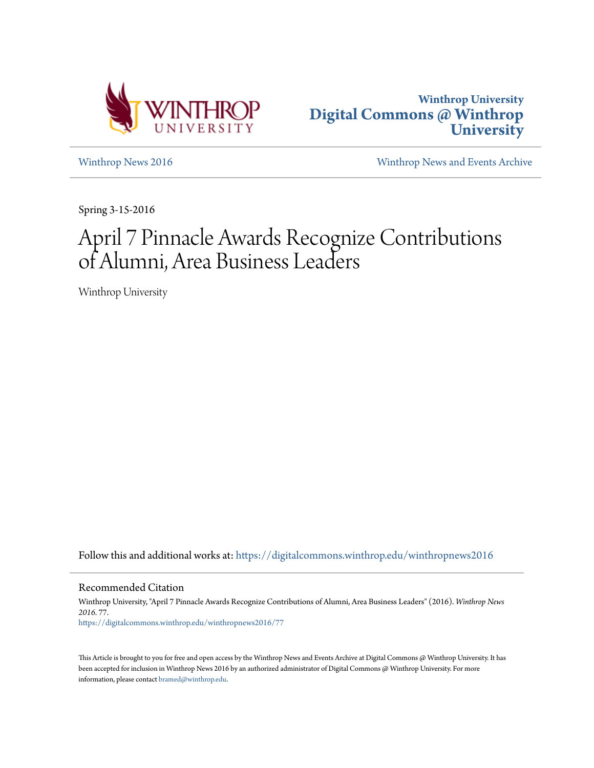



[Winthrop News 2016](https://digitalcommons.winthrop.edu/winthropnews2016?utm_source=digitalcommons.winthrop.edu%2Fwinthropnews2016%2F77&utm_medium=PDF&utm_campaign=PDFCoverPages) [Winthrop News and Events Archive](https://digitalcommons.winthrop.edu/winthropnewsarchives?utm_source=digitalcommons.winthrop.edu%2Fwinthropnews2016%2F77&utm_medium=PDF&utm_campaign=PDFCoverPages)

Spring 3-15-2016

## April 7 Pinnacle Awards Recognize Contributions of Alumni, Area Business Leaders

Winthrop University

Follow this and additional works at: [https://digitalcommons.winthrop.edu/winthropnews2016](https://digitalcommons.winthrop.edu/winthropnews2016?utm_source=digitalcommons.winthrop.edu%2Fwinthropnews2016%2F77&utm_medium=PDF&utm_campaign=PDFCoverPages)

Recommended Citation

Winthrop University, "April 7 Pinnacle Awards Recognize Contributions of Alumni, Area Business Leaders" (2016). *Winthrop News 2016*. 77. [https://digitalcommons.winthrop.edu/winthropnews2016/77](https://digitalcommons.winthrop.edu/winthropnews2016/77?utm_source=digitalcommons.winthrop.edu%2Fwinthropnews2016%2F77&utm_medium=PDF&utm_campaign=PDFCoverPages)

This Article is brought to you for free and open access by the Winthrop News and Events Archive at Digital Commons @ Winthrop University. It has been accepted for inclusion in Winthrop News 2016 by an authorized administrator of Digital Commons @ Winthrop University. For more information, please contact [bramed@winthrop.edu](mailto:bramed@winthrop.edu).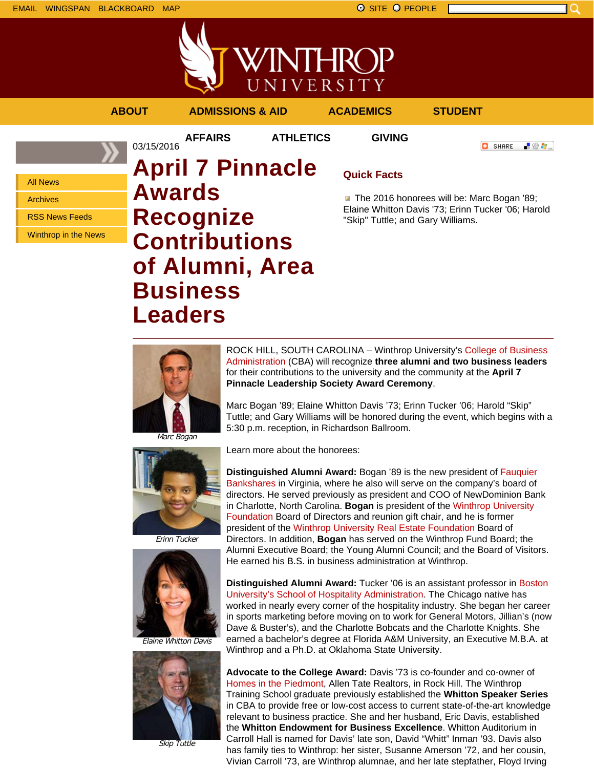



**AFFAIRS ATHLETICS GIVING**

03/15/2016

**ABOUT ADMISSIONS & AID ACADEMICS STUDENT**

**O** SHARE

- 89 年 -

All News Archives

RSS News Feeds

Winthrop in the News

## **April 7 Pinnacle Awards Recognize Contributions of Alumni, Area Business Leaders**

## **Quick Facts**

The 2016 honorees will be: Marc Bogan '89; Elaine Whitton Davis '73; Erinn Tucker '06; Harold "Skip" Tuttle; and Gary Williams.



ROCK HILL, SOUTH CAROLINA – Winthrop University's College of Business Administration (CBA) will recognize **three alumni and two business leaders** for their contributions to the university and the community at the **April 7 Pinnacle Leadership Society Award Ceremony**.

Marc Bogan '89; Elaine Whitton Davis '73; Erinn Tucker '06; Harold "Skip" Tuttle; and Gary Williams will be honored during the event, which begins with a 5:30 p.m. reception, in Richardson Ballroom.

Marc Bogan



Learn more about the honorees:

**Distinguished Alumni Award:** Bogan '89 is the new president of Fauquier Bankshares in Virginia, where he also will serve on the company's board of directors. He served previously as president and COO of NewDominion Bank in Charlotte, North Carolina. **Bogan** is president of the Winthrop University Foundation Board of Directors and reunion gift chair, and he is former president of the Winthrop University Real Estate Foundation Board of Directors. In addition, **Bogan** has served on the Winthrop Fund Board; the Alumni Executive Board; the Young Alumni Council; and the Board of Visitors. He earned his B.S. in business administration at Winthrop.

**Distinguished Alumni Award:** Tucker '06 is an assistant professor in Boston University's School of Hospitality Administration. The Chicago native has worked in nearly every corner of the hospitality industry. She began her career in sports marketing before moving on to work for General Motors, Jillian's (now Dave & Buster's), and the Charlotte Bobcats and the Charlotte Knights. She earned a bachelor's degree at Florida A&M University, an Executive M.B.A. at Winthrop and a Ph.D. at Oklahoma State University.



Elaine Whitton Davis

Skip Tuttle

**Advocate to the College Award:** Davis '73 is co-founder and co-owner of Homes in the Piedmont, Allen Tate Realtors, in Rock Hill. The Winthrop Training School graduate previously established the **Whitton Speaker Series** in CBA to provide free or low-cost access to current state-of-the-art knowledge relevant to business practice. She and her husband, Eric Davis, established the **Whitton Endowment for Business Excellence**. Whitton Auditorium in Carroll Hall is named for Davis' late son, David "Whitt" Inman '93. Davis also has family ties to Winthrop: her sister, Susanne Amerson '72, and her cousin, Vivian Carroll '73, are Winthrop alumnae, and her late stepfather, Floyd Irving